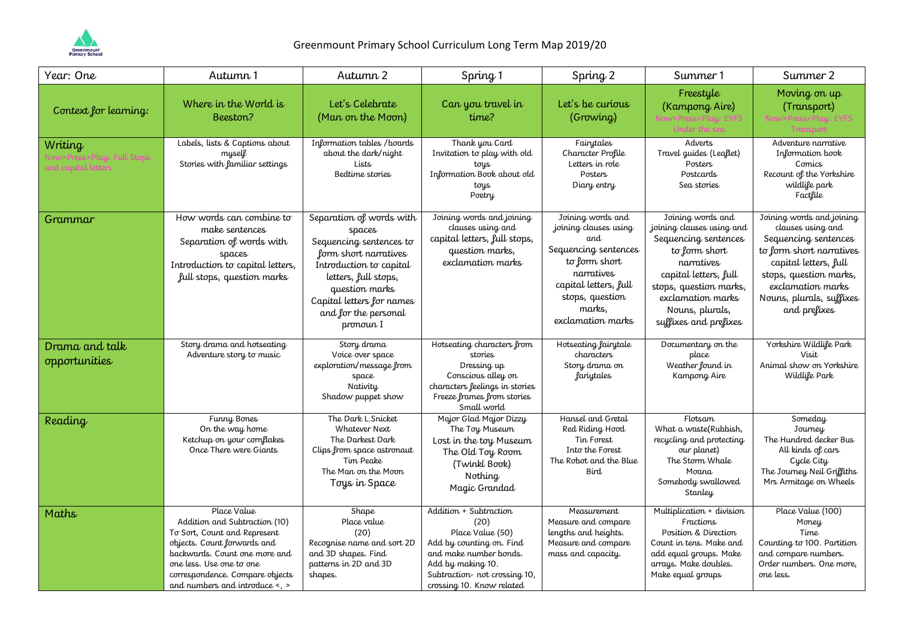

| Year: One                       | Autumn 1                                                                                                                                                                                                                                      | Autumn 2                                                                                                                                                                                                                      | Spring 1                                                                                                                                                                                    | Spring 2                                                                                                                                                                            | Summer 1                                                                                                                                                                                                                  | Summer 2                                                                                                                                                                                                               |
|---------------------------------|-----------------------------------------------------------------------------------------------------------------------------------------------------------------------------------------------------------------------------------------------|-------------------------------------------------------------------------------------------------------------------------------------------------------------------------------------------------------------------------------|---------------------------------------------------------------------------------------------------------------------------------------------------------------------------------------------|-------------------------------------------------------------------------------------------------------------------------------------------------------------------------------------|---------------------------------------------------------------------------------------------------------------------------------------------------------------------------------------------------------------------------|------------------------------------------------------------------------------------------------------------------------------------------------------------------------------------------------------------------------|
| Context for learning:           | Where in the World is<br>Beeston?                                                                                                                                                                                                             | Let's Celebrate<br>(Man on the Moon)                                                                                                                                                                                          | Can you travel in<br>time?                                                                                                                                                                  | Let's be curious<br>(Growing)                                                                                                                                                       | Freestyle<br>(Kampong Aire)                                                                                                                                                                                               | Moving on up<br>(Transport)                                                                                                                                                                                            |
| Writing<br>ind canital letters  | Labels, lists & Captions about<br>myself<br>Stories with familiar settings                                                                                                                                                                    | Information tables / boards<br>about the dark/night<br>Lists<br>Bedtime stories                                                                                                                                               | Thank you Card<br>Invitation to play with old<br>toys<br>Information Book about old<br>toys<br>Poetry                                                                                       | Fairytales<br>Character Profile<br>Letters in role<br>Posters<br>Diary entry                                                                                                        | Adverts<br>Travel guides (Leaflet)<br>Posters<br>Postcards<br>Sea stories                                                                                                                                                 | Adventure narrative<br>Information book<br>Comics<br>Recount of the Yorkshire<br>wildlife park<br>Factfile                                                                                                             |
| Grammar                         | How words can combine to<br>make sentences<br>Separation of words with<br>spaces<br>Introduction to capital letters,<br>full stops, question marks                                                                                            | Separation of words with<br>spaces<br>Sequencing sentences to<br>form short narratives<br>Introduction to capital<br>letters, full stops,<br>question marks<br>Capital letters for names<br>and for the personal<br>pronoun I | Joining words and joining<br>clauses using and<br>capital letters, full stops,<br>question marks,<br>exclamation marks                                                                      | Joining words and<br>joining clauses using<br>and<br>Sequencing sentences<br>to form short<br>narratives<br>capital letters, full<br>stops, question<br>marks,<br>exclamation marks | Joining words and<br>joining clauses using and<br>Sequencing sentences<br>to form short<br>narratives<br>capital letters, full<br>stops, question marks,<br>exclamation marks<br>Nouns, plurals,<br>suffixes and prefixes | Joining words and joining<br>clauses using and<br>Sequencing sentences<br>to form short narratives<br>capital letters, full<br>stops, question marks,<br>exclamation marks<br>Nouns, plurals, suffixes<br>and prefixes |
| Drama and talk<br>opportunities | Story drama and hotseating<br>Adventure story to music                                                                                                                                                                                        | Story drama<br>Voice over space<br>exploration/message from<br>space<br>Nativity<br>Shadow puppet show                                                                                                                        | Hotseating characters from<br>stories<br>Dressing up<br>Conscious alley on<br>characters feelings in stories<br>Freeze frames from stories<br>Small world                                   | Hotseating fairytale<br>characters<br>Story drama on<br><i>fariytales</i>                                                                                                           | Documentary on the<br>place<br>Weather found in<br>Kampong Aire                                                                                                                                                           | Yorkshire Wildlife Park<br>Visit<br>Animal show on Yorkshire<br>Wildlife Park                                                                                                                                          |
| Reading                         | Funny Bones<br>On the way home<br>Ketchup on your cornflakes<br>Once There were Giants                                                                                                                                                        | The Dark L.Snicket<br>Whatever Next<br>The Darkest Dark<br>Clips from space astronaut<br>Tim Peake<br>The Man on the Moon<br>Toys in Space                                                                                    | Major Glad Major Dizzy<br>The Toy Museum<br>Lost in the toy Museum<br>The Old Toy Room<br>(Twinkl Book)<br>Nothing<br>Magic Grandad                                                         | Hansel and Gretal<br>Red Riding Hood<br>Tin Forest<br>Into the Forest<br>The Robot and the Blue<br>Bird                                                                             | Flotsam<br>What a waste (Rubbish,<br>recycling and protecting<br>our planet)<br>The Storm Whale<br>Moana<br>Somebody swallowed<br>Stanley                                                                                 | Someday<br>Journey<br>The Hundred decker Bus<br>All kinds of cars<br>Cycle City<br>The Journey Neil Griffiths<br>Mrs Armitage on Wheels                                                                                |
| Maths                           | Place Value<br>Addition and Subtraction (10)<br>To Sort, Count and Represent<br>objects. Count forwards and<br>backwards. Count one more and<br>one less. Use one to one<br>correspondence. Compare objects<br>and numbers and introduce <, > | Shape<br>Place value<br>(20)<br>Recognise name and sort 2D<br>and 3D shapes. Find<br>patterns in 2D and 3D<br>shapes.                                                                                                         | Addition + Subtraction<br>(20)<br>Place Value (50)<br>Add by counting on. Find<br>and make number bonds.<br>Add by making 10.<br>Subtraction- not crossing 10,<br>crossing 10. Know related | Measurement<br>Measure and compare<br>lengths and heights.<br>Measure and compare<br>mass and capacity.                                                                             | Multiplication + division<br>Fractions<br>Position & Direction<br>Count in tens. Make and<br>add equal groups. Make<br>arrays. Make doubles.<br>Make equal groups                                                         | Place Value (100)<br>Money<br>Time<br>Counting to 100. Partition<br>and compare numbers.<br>Order numbers. One more,<br>one less.                                                                                      |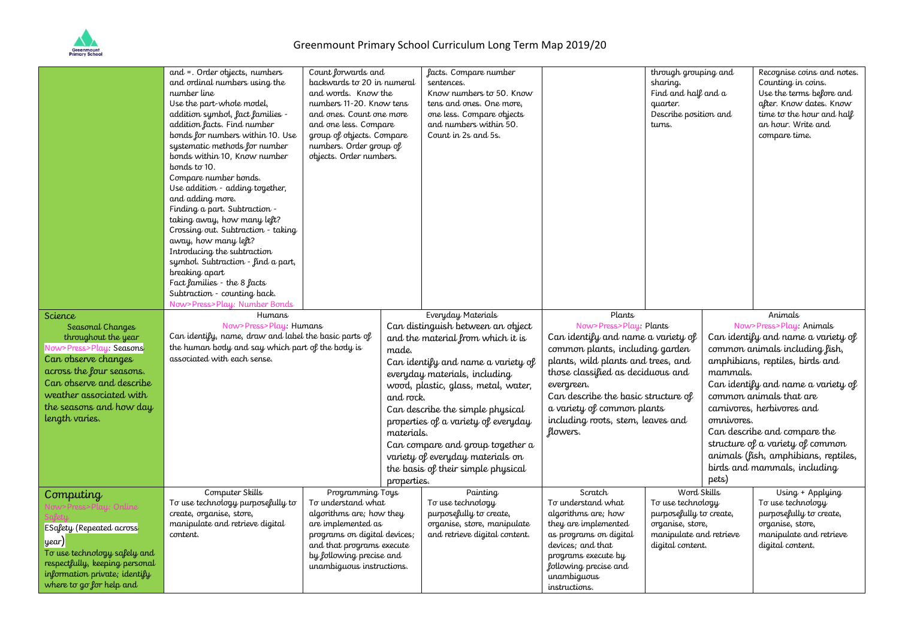

|                                                                                                                                                                                                       | and = . Order objects, numbers<br>and ordinal numbers using the<br>number line<br>Use the part-whole model,<br>addition symbol, fact families -<br>addition facts. Find number<br>bonds for numbers within 10. Use<br>systematic methods for number<br>bonds within 10, Know number<br>bonds to 10.<br>Compare number bonds.<br>Use addition - adding together,<br>and adding more.<br>Finding a part. Subtraction -<br>taking away, how many left?<br>Crossing out. Subtraction - taking<br>away, how many left? | Count forwards and<br>backwards to 20 in numeral<br>and words. Know the<br>numbers 11-20. Know tens<br>and ones. Count one more<br>and one less. Compare<br>group of objects. Compare<br>numbers. Order group of<br>objects. Order numbers.<br>Humans<br>Now>Press>Play: Humans<br>Can identify, name, draw and label the basic parts of<br>the human body and say which part of the body is<br>made.<br>and rock.<br>materials.<br>properties.<br>Computer Skills<br>Programming Toys<br>To understand what<br>algorithms are; how they<br>are implemented as<br>programs on digital devices;<br>and that programs execute<br>by following precise and<br>unambiguous instructions. |  | facts. Compare number<br>sentences.<br>Know numbers to 50. Know<br>tens and ones. One more,<br>one less. Compare objects<br>and numbers within 50.<br>Count in 2s and 5s.                                                                                                                                                                |                                                                                                                                                                                                                                                                                      | through grouping and<br>sharing.<br>Find and half and a<br>quarter.<br>Describe position and<br>turns.                         |       | Recognise coins and notes.<br>Counting in coins.<br>Use the terms before and<br>after. Know dates. Know<br>time to the hour and half<br>an hour. Write and<br>compare time.                                                                                                                                                                                                  |  |
|-------------------------------------------------------------------------------------------------------------------------------------------------------------------------------------------------------|-------------------------------------------------------------------------------------------------------------------------------------------------------------------------------------------------------------------------------------------------------------------------------------------------------------------------------------------------------------------------------------------------------------------------------------------------------------------------------------------------------------------|--------------------------------------------------------------------------------------------------------------------------------------------------------------------------------------------------------------------------------------------------------------------------------------------------------------------------------------------------------------------------------------------------------------------------------------------------------------------------------------------------------------------------------------------------------------------------------------------------------------------------------------------------------------------------------------|--|------------------------------------------------------------------------------------------------------------------------------------------------------------------------------------------------------------------------------------------------------------------------------------------------------------------------------------------|--------------------------------------------------------------------------------------------------------------------------------------------------------------------------------------------------------------------------------------------------------------------------------------|--------------------------------------------------------------------------------------------------------------------------------|-------|------------------------------------------------------------------------------------------------------------------------------------------------------------------------------------------------------------------------------------------------------------------------------------------------------------------------------------------------------------------------------|--|
| <b>Science</b><br>Seasonal Changes                                                                                                                                                                    | Introducing the subtraction<br>symbol. Subtraction - find a part,<br>breaking apart<br>Fact families - the 8 facts<br>Subtraction - counting back.<br>Now>Press>Play: Number Bonds                                                                                                                                                                                                                                                                                                                                |                                                                                                                                                                                                                                                                                                                                                                                                                                                                                                                                                                                                                                                                                      |  | Everyday Materials<br>Can distinguish between an object                                                                                                                                                                                                                                                                                  | Plants<br>Now>Press>Play: Plants                                                                                                                                                                                                                                                     |                                                                                                                                |       | Animals<br>Now>Press>Play: Animals                                                                                                                                                                                                                                                                                                                                           |  |
| throughout the year<br>Now>Press>Play: Seasons<br>Can observe changes<br>across the four seasons.<br>Can observe and describe<br>weather associated with<br>the seasons and how day<br>length varies. | associated with each sense.                                                                                                                                                                                                                                                                                                                                                                                                                                                                                       |                                                                                                                                                                                                                                                                                                                                                                                                                                                                                                                                                                                                                                                                                      |  | and the material from which it is<br>Can identify and name a variety of<br>everyday materials, including<br>wood, plastic, glass, metal, water,<br>Can describe the simple physical<br>properties of a variety of everyday<br>Can compare and group together a<br>variety of everyday materials on<br>the basis of their simple physical | Can identify and name a variety of<br>common plants, including garden<br>plants, wild plants and trees, and<br>those classified as deciduous and<br>evergreen.<br>Can describe the basic structure of<br>a variety of common plants<br>including roots, stem, leaves and<br>flowers. |                                                                                                                                | pets) | Can identify and name a variety of<br>common animals including fish,<br>amphibians, reptiles, birds and<br>mammals.<br>Can identify and name a variety of<br>common animals that are<br>carnivores, herbivores and<br>omnivores.<br>Can describe and compare the<br>structure of a variety of common<br>animals (fish, amphibians, reptiles,<br>birds and mammals, including |  |
| Computing<br><b>ESafety (Repeated across</b><br>year)<br>To use technology safely and<br>respectfully, keeping personal<br>information private; identify<br>where to go for help and                  | To use technology purposefully to<br>create, organise, store,<br>manipulate and retrieve digital<br>content.                                                                                                                                                                                                                                                                                                                                                                                                      |                                                                                                                                                                                                                                                                                                                                                                                                                                                                                                                                                                                                                                                                                      |  | Painting<br>To use technology<br>purposefully to create,<br>organise, store, manipulate<br>and retrieve digital content.                                                                                                                                                                                                                 | Scratch<br>To understand what<br>algorithms are; how<br>they are implemented<br>as programs on digital<br>devices; and that<br>programs execute by<br>following precise and<br>unambiguous<br>instructions.                                                                          | Word Skills<br>To use technology<br>purposefully to create,<br>organise, store,<br>manipulate and retrieve<br>digital content. |       | Using + Applying<br>To use technology<br>purposefully to create,<br>organise, store,<br>manipulate and retrieve<br>digital content.                                                                                                                                                                                                                                          |  |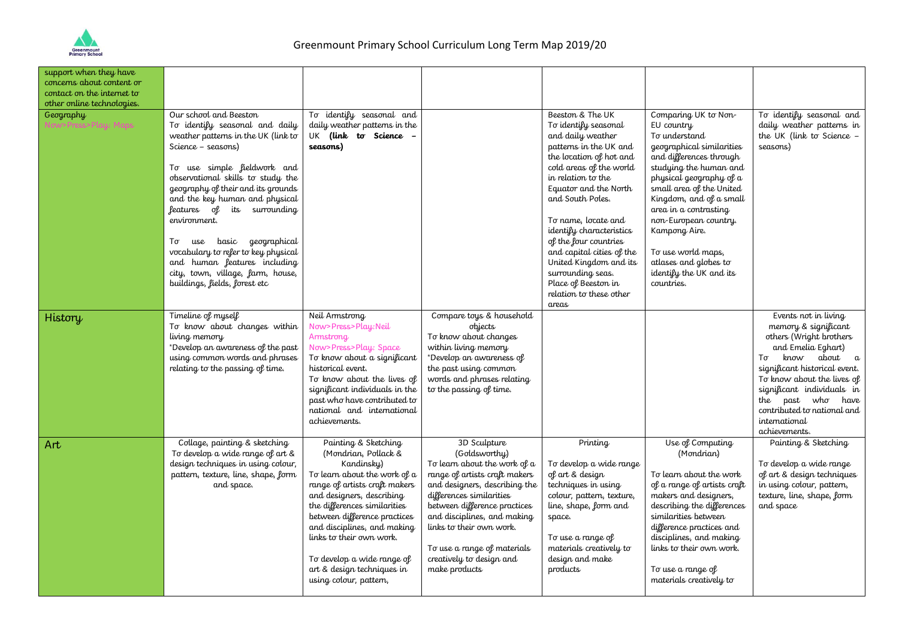

| support when they have<br>concerns about content or<br>contact on the internet to<br>other online technologies. |                                                                                                                                                                                                                                                                                                                                                                                                                                                                                                     |                                                                                                                                                                                                                                                                                                                                                                           |                                                                                                                                                                                                                                                                                                                                    |                                                                                                                                                                                                                                                                                                                                                                                                                                     |                                                                                                                                                                                                                                                                                                                                                                                    |                                                                                                                                                                                                                                                                                                           |
|-----------------------------------------------------------------------------------------------------------------|-----------------------------------------------------------------------------------------------------------------------------------------------------------------------------------------------------------------------------------------------------------------------------------------------------------------------------------------------------------------------------------------------------------------------------------------------------------------------------------------------------|---------------------------------------------------------------------------------------------------------------------------------------------------------------------------------------------------------------------------------------------------------------------------------------------------------------------------------------------------------------------------|------------------------------------------------------------------------------------------------------------------------------------------------------------------------------------------------------------------------------------------------------------------------------------------------------------------------------------|-------------------------------------------------------------------------------------------------------------------------------------------------------------------------------------------------------------------------------------------------------------------------------------------------------------------------------------------------------------------------------------------------------------------------------------|------------------------------------------------------------------------------------------------------------------------------------------------------------------------------------------------------------------------------------------------------------------------------------------------------------------------------------------------------------------------------------|-----------------------------------------------------------------------------------------------------------------------------------------------------------------------------------------------------------------------------------------------------------------------------------------------------------|
| Geography<br>ow>Press>Play: Maps                                                                                | Our school and Beeston<br>To identify seasonal and daily<br>weather patterns in the UK (link to<br>Science - seasons)<br>To use simple fieldwork and<br>observational skills to study the<br>geography of their and its grounds<br>and the key human and physical<br>features of its surrounding<br>environment.<br>geographical<br>basic<br>Тσ<br>use<br>vocabulary to refer to key physical<br>and human features including<br>city, town, village, farm, house,<br>buildings, fields, forest etc | To identify seasonal and<br>daily weather patterns in the<br>UK (link to Science<br>seasons)                                                                                                                                                                                                                                                                              |                                                                                                                                                                                                                                                                                                                                    | Beeston & The UK<br>To identify seasonal<br>and daily weather<br>patterns in the UK and<br>the location of hot and<br>cold areas of the world<br>in relation to the<br>Equator and the North<br>and South Poles.<br>To name, locate and<br>identify characteristics<br>of the four countries<br>and capital cities of the<br>United Kingdom and its<br>surrounding seas.<br>Place of Beeston in<br>relation to these other<br>areas | Comparing UK to Non-<br>EU country<br>To understand<br>geographical similarities<br>and differences through<br>studying the human and<br>physical geography of a<br>small area of the United<br>Kingdom, and of a small<br>area in a contrasting<br>non-European country.<br>Kampong Aire.<br>To use world maps,<br>atlases and globes to<br>identify the UK and its<br>countries. | To identify seasonal and<br>daily weather patterns in<br>the UK (link to Science -<br>seasons)                                                                                                                                                                                                            |
| History                                                                                                         | Timeline of myself<br>To know about changes within<br>living memory<br>*Develop an awareness of the past<br>using common words and phrases<br>relating to the passing of time.                                                                                                                                                                                                                                                                                                                      | Neil Armstrong<br>Now>Press>Play:Neil<br>Armstrong<br>Now>Press>Play: Space<br>To know about a significant<br>historical event.<br>To know about the lives of<br>significant individuals in the<br>past who have contributed to<br>national and international<br>achievements.                                                                                            | Compare toys & household<br>objects<br>To know about changes<br>within living memory<br>*Develop an awareness of<br>the past using common<br>words and phrases relating<br>to the passing of time.                                                                                                                                 |                                                                                                                                                                                                                                                                                                                                                                                                                                     |                                                                                                                                                                                                                                                                                                                                                                                    | Events not in living<br>memory & significant<br>others (Wright brothers<br>and Emelia Eghart)<br>know<br>about a<br>Τσ<br>significant historical event.<br>To know about the lives of<br>significant individuals in<br>the past who have<br>contributed to national and<br>international<br>achievements. |
| Art                                                                                                             | Collage, painting & sketching<br>To develop a wide range of art &<br>design techniques in using colour,<br>pattern, texture, line, shape, form<br>and space.                                                                                                                                                                                                                                                                                                                                        | Painting & Sketching<br>(Mondrian, Pollack &<br>Kandinsky)<br>To learn about the work of a<br>range of artists craft makers<br>and designers, describing<br>the differences similarities<br>between difference practices<br>and disciplines, and making<br>links to their own work.<br>To develop a wide range of<br>art & design techniques in<br>using colour, pattern, | 3D Sculpture<br>(Goldsworthy)<br>To learn about the work of a<br>range of artists craft makers<br>and designers, describing the<br>differences similarities<br>between difference practices<br>and disciplines, and making<br>links to their own work.<br>To use a range of materials<br>creatively to design and<br>make products | Printing<br>To develop a wide range<br>of art & design<br>techniques in using<br>colour, pattern, texture,<br>line, shape, form and<br>space.<br>To use a range of<br>materials creatively to<br>design and make<br>products                                                                                                                                                                                                        | Use of Computing<br>(Mondrian)<br>To learn about the work<br>of a range of artists craft<br>makers and designers,<br>describing the differences<br>similarities between<br>difference practices and<br>disciplines, and making<br>links to their own work.<br>To use a range of<br>materials creatively to                                                                         | Painting & Sketching<br>To develop a wide range<br>of art & design techniques<br>in using colour, pattern,<br>texture, line, shape, form<br>and space                                                                                                                                                     |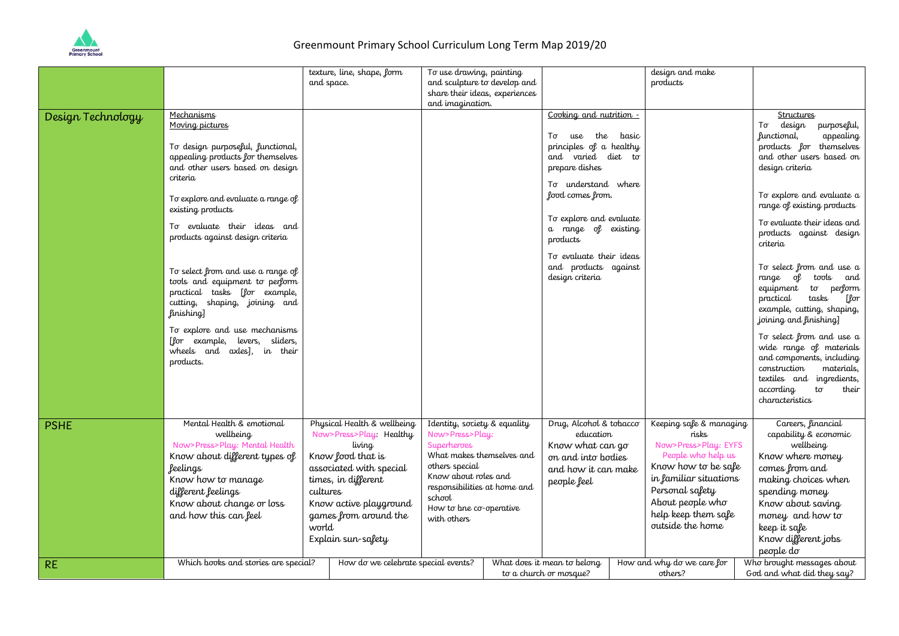

## Greenmount Primary School Curriculum Long Term Map 2019/20

|                   |                                                                     |                       | texture, line, shape, form          | To use drawing, painting                           |                    |                             |                    | design and make            |                  |                                                    |
|-------------------|---------------------------------------------------------------------|-----------------------|-------------------------------------|----------------------------------------------------|--------------------|-----------------------------|--------------------|----------------------------|------------------|----------------------------------------------------|
|                   |                                                                     |                       | and space.                          | and sculpture to develop and                       |                    |                             |                    | products                   |                  |                                                    |
|                   |                                                                     |                       |                                     | share their ideas, experiences<br>and imagination. |                    |                             |                    |                            |                  |                                                    |
|                   | <b>Mechanisms</b>                                                   |                       |                                     |                                                    |                    | Cooking and nutrition -     |                    |                            |                  | <b>Structures</b>                                  |
| Design Technology | Moving pictures                                                     |                       |                                     |                                                    |                    |                             |                    |                            |                  | Тσ<br>design<br>purposeful,                        |
|                   |                                                                     |                       |                                     |                                                    |                    | use the<br>Τσ               | basic              |                            |                  | appealing<br>functional,                           |
|                   | To design purposeful, functional,                                   |                       |                                     |                                                    |                    | principles of a healthy     |                    |                            |                  | products for themselves                            |
|                   | appealing products for themselves                                   |                       |                                     |                                                    |                    | and varied diet to          |                    |                            |                  | and other users based on                           |
|                   | and other users based on design                                     |                       |                                     |                                                    |                    | prepare dishes              |                    |                            |                  | design criteria                                    |
|                   | criteria                                                            |                       |                                     |                                                    |                    | To understand where         |                    |                            |                  |                                                    |
|                   | To explore and evaluate a range of                                  |                       |                                     |                                                    |                    | food comes from.            |                    |                            |                  | To explore and evaluate a                          |
|                   | existing products                                                   |                       |                                     |                                                    |                    |                             |                    |                            |                  | range of existing products                         |
|                   |                                                                     |                       |                                     |                                                    |                    | To explore and evaluate     |                    |                            |                  | To evaluate their ideas and                        |
|                   | To evaluate their ideas and                                         |                       |                                     |                                                    |                    | a range of existing         |                    |                            |                  | products against design                            |
|                   | products against design criteria                                    |                       |                                     |                                                    |                    | products                    |                    |                            |                  | criteria                                           |
|                   |                                                                     |                       |                                     |                                                    |                    | To evaluate their ideas     |                    |                            |                  |                                                    |
|                   |                                                                     |                       |                                     |                                                    |                    | and products against        |                    |                            |                  | To select from and use a                           |
|                   | To select from and use a range of<br>tools and equipment to perform |                       |                                     |                                                    |                    | design criteria             |                    |                            |                  | range of tools and                                 |
|                   | practical tasks [for example,                                       |                       |                                     |                                                    |                    |                             |                    |                            |                  | equipment to perform                               |
|                   | cutting, shaping, joining and                                       |                       |                                     |                                                    |                    |                             |                    |                            |                  | [for<br>practical<br>tasks                         |
|                   | finishing]                                                          |                       |                                     |                                                    |                    |                             |                    |                            |                  | example, cutting, shaping,                         |
|                   | To explore and use mechanisms                                       |                       |                                     |                                                    |                    |                             |                    |                            |                  | joining and finishing]                             |
|                   | [for example, levers, sliders,                                      |                       |                                     |                                                    |                    |                             |                    |                            |                  | To select from and use a                           |
|                   | wheels and axles], in their                                         |                       |                                     |                                                    |                    |                             |                    |                            |                  | wide range of materials                            |
|                   | products.                                                           |                       |                                     |                                                    |                    |                             |                    |                            |                  | and components, including                          |
|                   |                                                                     |                       |                                     |                                                    |                    |                             |                    |                            |                  | materials,<br>construction                         |
|                   |                                                                     |                       |                                     |                                                    |                    |                             |                    |                            |                  | textiles and ingredients,                          |
|                   |                                                                     |                       |                                     |                                                    |                    |                             |                    |                            |                  | according<br>$t\sigma$<br>their<br>characteristics |
|                   |                                                                     |                       |                                     |                                                    |                    |                             |                    |                            |                  |                                                    |
|                   | Mental Health & emotional                                           |                       | Physical Health & wellbeing         | Identity, society & equality                       |                    | Drug, Alcohol & tobacco     |                    | Keeping safe & managing    |                  | Careers, financial                                 |
| <b>PSHE</b>       | wellbeing                                                           |                       | Now>Press>Play: Healthy             | Now>Press>Play:                                    |                    | education                   |                    | risks                      |                  | capability & economic                              |
|                   | Now>Press>Play: Mental Health                                       |                       | living                              | <b>Superheroes</b>                                 |                    | Know what can go            |                    | Now>Press>Play: EYFS       |                  | wellbeing                                          |
|                   | Know about different types of                                       |                       | Know food that is                   | What makes themselves and                          | on and into bodies |                             | People who help us |                            | Know where money |                                                    |
|                   | <b>feelings</b>                                                     |                       | associated with special             | others special                                     |                    | and how it can make         |                    | Know how to be safe        |                  | comes from and                                     |
|                   | Know how to manage                                                  |                       | times, in different                 | Know about roles and                               |                    | people feel                 |                    | in familiar situations     |                  | making choices when                                |
|                   | different feelings                                                  | cultures              |                                     | responsibilities at home and                       |                    |                             |                    | Personal safety            |                  | spending money                                     |
|                   | Know about change or loss<br>Know active playground                 |                       |                                     | school                                             |                    |                             |                    | About people who           |                  | Know about saving                                  |
|                   | and how this can feel                                               | games from around the |                                     | How to bne co-operative                            |                    |                             |                    | help keep them safe        |                  | money and how to                                   |
|                   |                                                                     | world                 |                                     | with others                                        |                    |                             |                    | outside the home           |                  | keep it safe                                       |
|                   |                                                                     |                       | Explain sun-safety                  |                                                    |                    |                             |                    |                            |                  | Know different jobs                                |
|                   |                                                                     |                       |                                     |                                                    |                    |                             |                    |                            |                  | people do                                          |
| <b>RE</b>         | Which books and stories are special?                                |                       | How do we celebrate special events? |                                                    |                    | What does it mean to belong |                    | How and why do we care for |                  | Who brought messages about                         |
|                   |                                                                     |                       |                                     |                                                    |                    | to a church or mosque?      |                    | others?                    |                  | God and what did they say?                         |